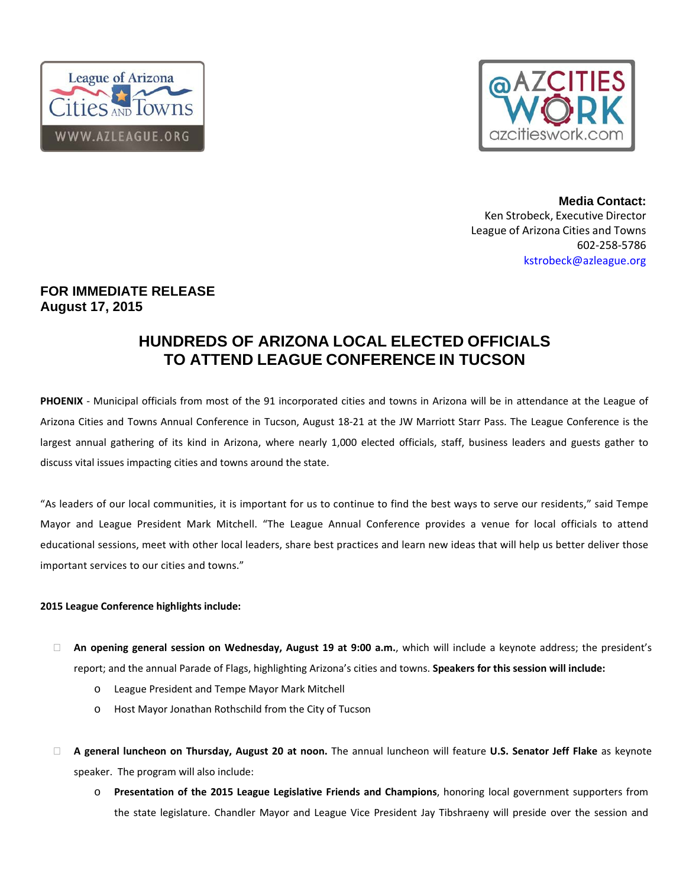



**Media Contact:**  Ken Strobeck, Executive Director League of Arizona Cities and Towns 602‐258‐5786 kstrobeck@azleague.org

## **FOR IMMEDIATE RELEASE August 17, 2015**

# **HUNDREDS OF ARIZONA LOCAL ELECTED OFFICIALS TO ATTEND LEAGUE CONFERENCE IN TUCSON**

PHOENIX - Municipal officials from most of the 91 incorporated cities and towns in Arizona will be in attendance at the League of Arizona Cities and Towns Annual Conference in Tucson, August 18‐21 at the JW Marriott Starr Pass. The League Conference is the largest annual gathering of its kind in Arizona, where nearly 1,000 elected officials, staff, business leaders and guests gather to discuss vital issues impacting cities and towns around the state.

"As leaders of our local communities, it is important for us to continue to find the best ways to serve our residents," said Tempe Mayor and League President Mark Mitchell. "The League Annual Conference provides a venue for local officials to attend educational sessions, meet with other local leaders, share best practices and learn new ideas that will help us better deliver those important services to our cities and towns."

### **2015 League Conference highlights include:**

- **An opening general session on Wednesday, August 19 at 9:00 a.m.**, which will include a keynote address; the president's report; and the annual Parade of Flags, highlighting Arizona's cities and towns. **Speakers for this session will include:**
	- o League President and Tempe Mayor Mark Mitchell
	- o Host Mayor Jonathan Rothschild from the City of Tucson
- **A general luncheon on Thursday, August 20 at noon.** The annual luncheon will feature **U.S. Senator Jeff Flake** as keynote speaker. The program will also include:
	- o **Presentation of the 2015 League Legislative Friends and Champions**, honoring local government supporters from the state legislature. Chandler Mayor and League Vice President Jay Tibshraeny will preside over the session and